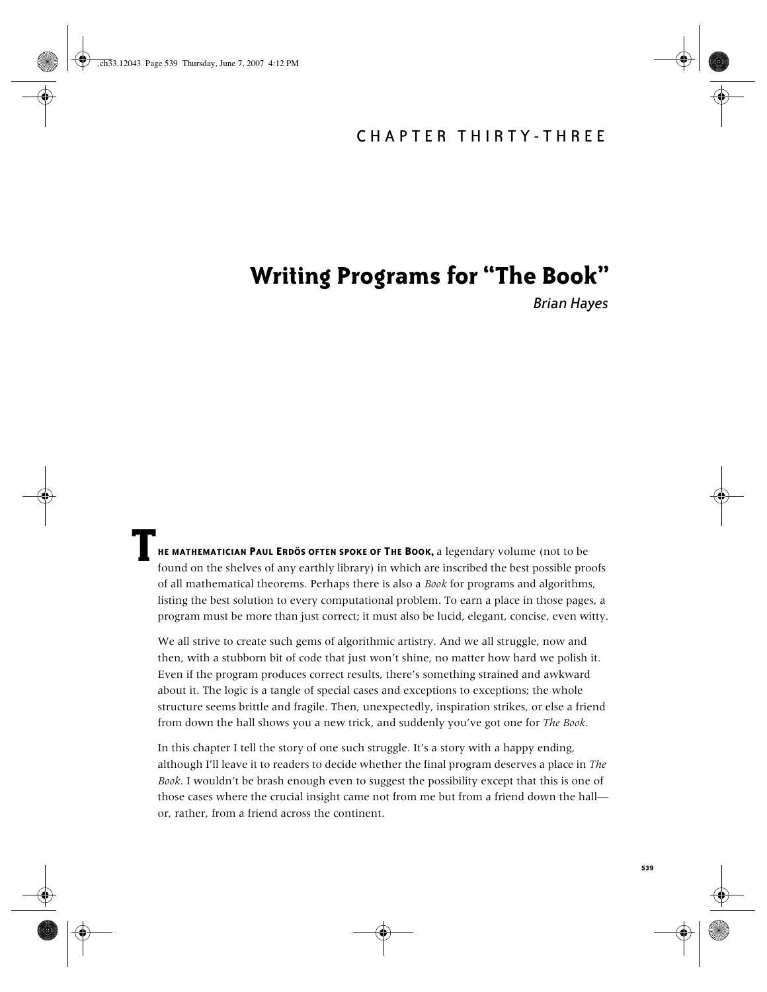# **Writing Programs for "The Book"**

*Brian Hayes*

**THE MATHEMATICIAN PAUL ERDÖS OFTEN SPOKE OF THE BOOK,** a legendary volume (not to be found on the shelves of any earthly library) in which are inscribed the best possible proofs of all mathematical theorems. Perhaps there is also a *Book* for programs and algorithms, listing the best solution to every computational problem. To earn a place in those pages, a program must be more than just correct; it must also be lucid, elegant, concise, even witty.

We all strive to create such gems of algorithmic artistry. And we all struggle, now and then, with a stubborn bit of code that just won't shine, no matter how hard we polish it. Even if the program produces correct results, there's something strained and awkward about it. The logic is a tangle of special cases and exceptions to exceptions; the whole structure seems brittle and fragile. Then, unexpectedly, inspiration strikes, or else a friend from down the hall shows you a new trick, and suddenly you've got one for *The Book*.

In this chapter I tell the story of one such struggle. It's a story with a happy ending, although I'll leave it to readers to decide whether the final program deserves a place in *The Book*. I wouldn't be brash enough even to suggest the possibility except that this is one of those cases where the crucial insight came not from me but from a friend down the hall or, rather, from a friend across the continent.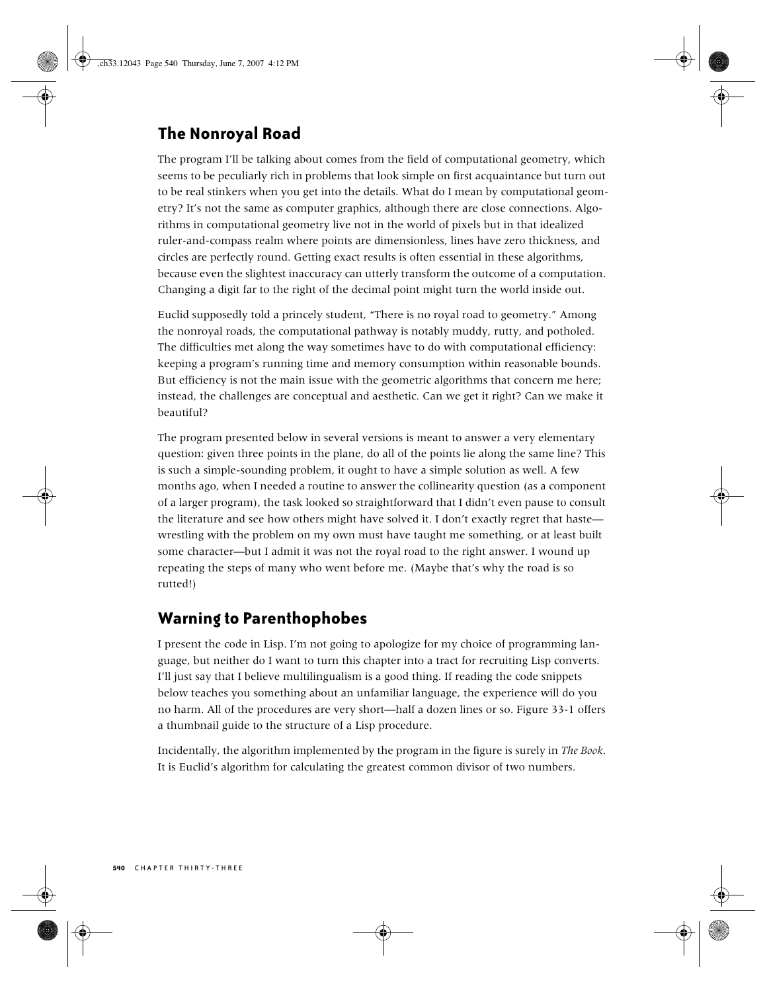## **The Nonroyal Road**

The program I'll be talking about comes from the field of computational geometry, which seems to be peculiarly rich in problems that look simple on first acquaintance but turn out to be real stinkers when you get into the details. What do I mean by computational geometry? It's not the same as computer graphics, although there are close connections. Algorithms in computational geometry live not in the world of pixels but in that idealized ruler-and-compass realm where points are dimensionless, lines have zero thickness, and circles are perfectly round. Getting exact results is often essential in these algorithms, because even the slightest inaccuracy can utterly transform the outcome of a computation. Changing a digit far to the right of the decimal point might turn the world inside out.

Euclid supposedly told a princely student, "There is no royal road to geometry." Among the nonroyal roads, the computational pathway is notably muddy, rutty, and potholed. The difficulties met along the way sometimes have to do with computational efficiency: keeping a program's running time and memory consumption within reasonable bounds. But efficiency is not the main issue with the geometric algorithms that concern me here; instead, the challenges are conceptual and aesthetic. Can we get it right? Can we make it beautiful?

The program presented below in several versions is meant to answer a very elementary question: given three points in the plane, do all of the points lie along the same line? This is such a simple-sounding problem, it ought to have a simple solution as well. A few months ago, when I needed a routine to answer the collinearity question (as a component of a larger program), the task looked so straightforward that I didn't even pause to consult the literature and see how others might have solved it. I don't exactly regret that haste wrestling with the problem on my own must have taught me something, or at least built some character—but I admit it was not the royal road to the right answer. I wound up repeating the steps of many who went before me. (Maybe that's why the road is so rutted!)

#### **Warning to Parenthophobes**

I present the code in Lisp. I'm not going to apologize for my choice of programming language, but neither do I want to turn this chapter into a tract for recruiting Lisp converts. I'll just say that I believe multilingualism is a good thing. If reading the code snippets below teaches you something about an unfamiliar language, the experience will do you no harm. All of the procedures are very short—half a dozen lines or so. Figure 33-1 offers a thumbnail guide to the structure of a Lisp procedure.

Incidentally, the algorithm implemented by the program in the figure is surely in *The Book*. It is Euclid's algorithm for calculating the greatest common divisor of two numbers.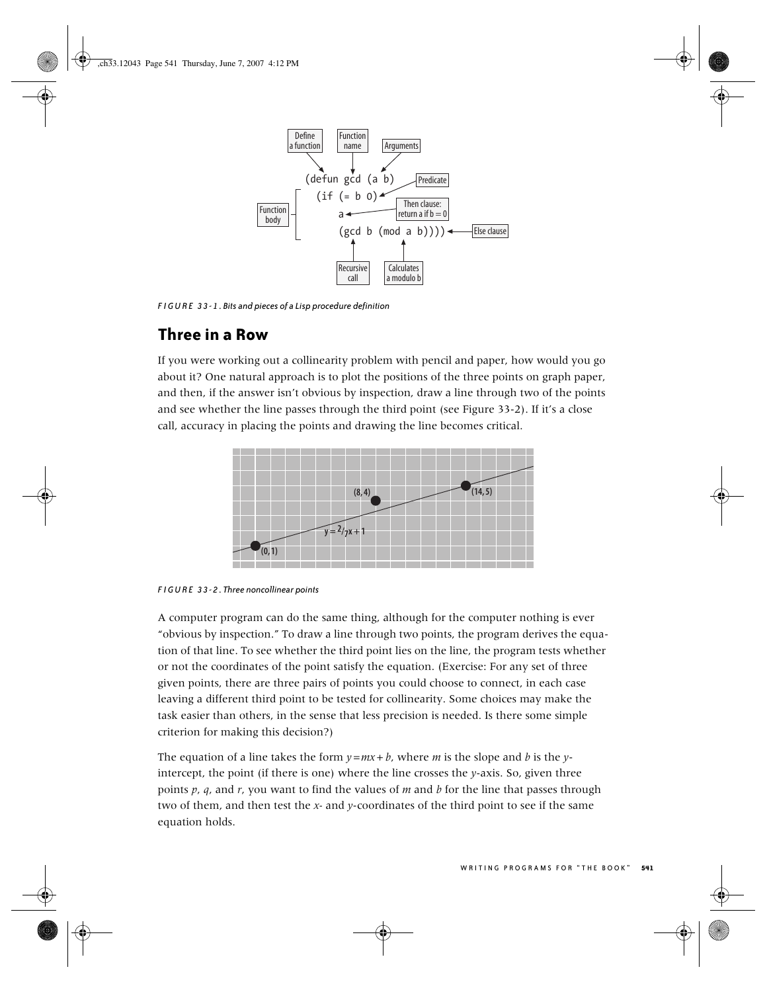

*FIGURE 33-1* . *Bits and pieces of a Lisp procedure definition*

#### **Three in a Row**

If you were working out a collinearity problem with pencil and paper, how would you go about it? One natural approach is to plot the positions of the three points on graph paper, and then, if the answer isn't obvious by inspection, draw a line through two of the points and see whether the line passes through the third point (see Figure 33-2). If it's a close call, accuracy in placing the points and drawing the line becomes critical.





A computer program can do the same thing, although for the computer nothing is ever "obvious by inspection." To draw a line through two points, the program derives the equation of that line. To see whether the third point lies on the line, the program tests whether or not the coordinates of the point satisfy the equation. (Exercise: For any set of three given points, there are three pairs of points you could choose to connect, in each case leaving a different third point to be tested for collinearity. Some choices may make the task easier than others, in the sense that less precision is needed. Is there some simple criterion for making this decision?)

The equation of a line takes the form  $y = mx + b$ , where *m* is the slope and *b* is the *y*intercept, the point (if there is one) where the line crosses the *y*-axis. So, given three points *p*, *q*, and *r*, you want to find the values of *m* and *b* for the line that passes through two of them, and then test the *x-* and *y*-coordinates of the third point to see if the same equation holds.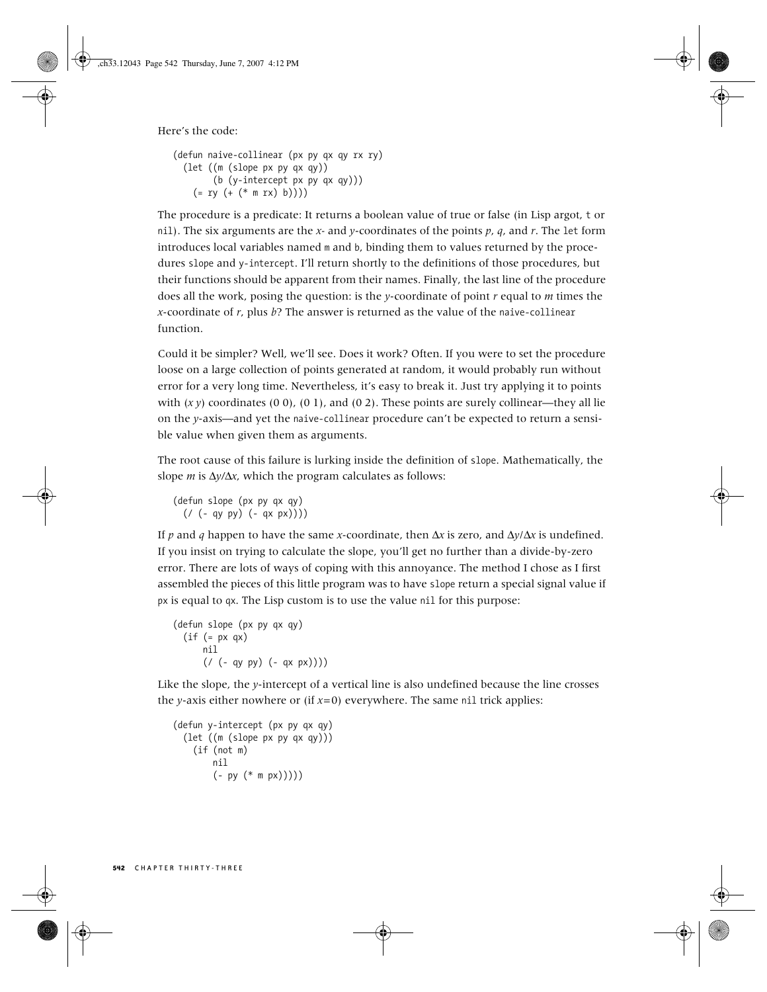Here's the code:

```
(defun naive-collinear (px py qx qy rx ry)
 (let ((m (slope px py qx qy))
       (b (y-intercept px py qx qy)))
   ( = ry (+ (* m rx) b))))
```
The procedure is a predicate: It returns a boolean value of true or false (in Lisp argot, t or nil). The six arguments are the *x-* and *y*-coordinates of the points *p*, *q*, and *r*. The let form introduces local variables named m and b, binding them to values returned by the procedures slope and y-intercept. I'll return shortly to the definitions of those procedures, but their functions should be apparent from their names. Finally, the last line of the procedure does all the work, posing the question: is the *y*-coordinate of point *r* equal to *m* times the *x*-coordinate of *r*, plus *b*? The answer is returned as the value of the naive-collinear function.

Could it be simpler? Well, we'll see. Does it work? Often. If you were to set the procedure loose on a large collection of points generated at random, it would probably run without error for a very long time. Nevertheless, it's easy to break it. Just try applying it to points with  $(x y)$  coordinates  $(0 0)$ ,  $(0 1)$ , and  $(0 2)$ . These points are surely collinear—they all lie on the *y*-axis—and yet the naive-collinear procedure can't be expected to return a sensible value when given them as arguments.

The root cause of this failure is lurking inside the definition of slope. Mathematically, the slope *m* is ∆*y/*∆*x*, which the program calculates as follows:

(defun slope (px py qx qy) (/ (- qy py) (- qx px))))

If *p* and *q* happen to have the same *x*-coordinate, then ∆*x* is zero, and ∆*y*/∆*x* is undefined. If you insist on trying to calculate the slope, you'll get no further than a divide-by-zero error. There are lots of ways of coping with this annoyance. The method I chose as I first assembled the pieces of this little program was to have slope return a special signal value if px is equal to qx. The Lisp custom is to use the value nil for this purpose:

```
(defun slope (px py qx qy)
(if (= px qx)) nil
     (( ( - qy py) (- qx px))))
```
Like the slope, the *y*-intercept of a vertical line is also undefined because the line crosses the *y*-axis either nowhere or (if  $x=0$ ) everywhere. The same nil trick applies:

```
(defun y-intercept (px py qx qy)
 (\text{let } ((m (slope px py qx qy))) (if (not m)
        nil
       (- py (* m px)))))
```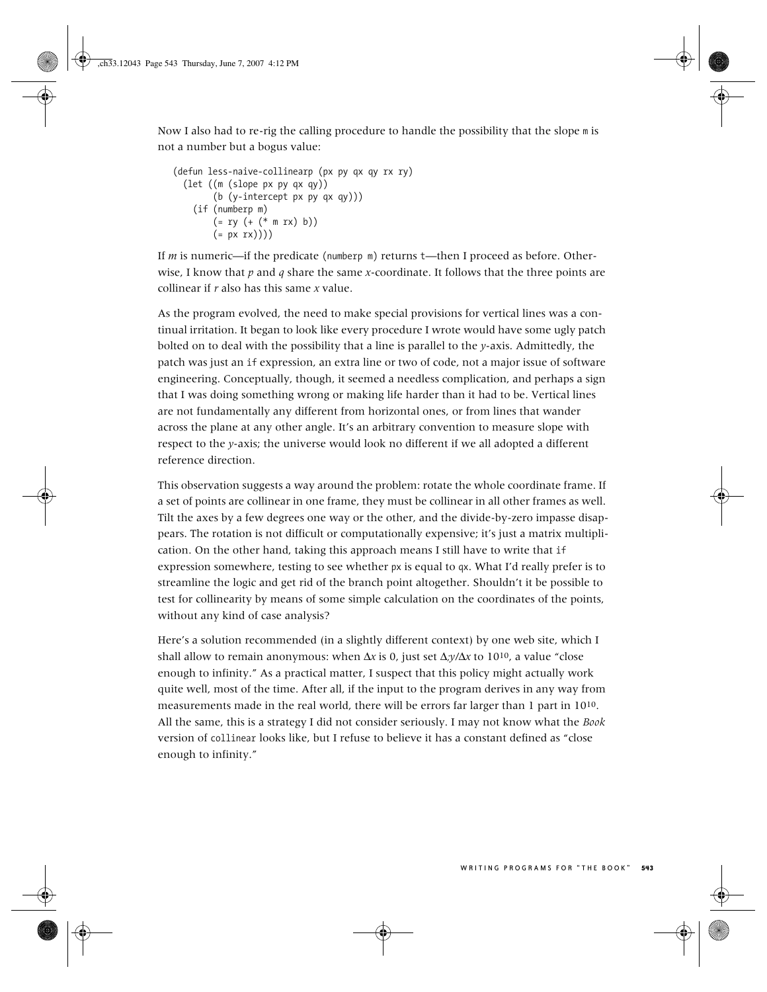Now I also had to re-rig the calling procedure to handle the possibility that the slope m is not a number but a bogus value:

```
(defun less-naive-collinearp (px py qx qy rx ry)
 (let ((m (slope px py qx qy))
        (b (y-intercept px py qx qy)))
    (if (numberp m)
      ( = ry (+ (* m rx) b))(= px \r x))))
```
If *m* is numeric—if the predicate (numberp m) returns t—then I proceed as before. Otherwise, I know that *p* and *q* share the same *x*-coordinate. It follows that the three points are collinear if *r* also has this same *x* value.

As the program evolved, the need to make special provisions for vertical lines was a continual irritation. It began to look like every procedure I wrote would have some ugly patch bolted on to deal with the possibility that a line is parallel to the *y*-axis. Admittedly, the patch was just an if expression, an extra line or two of code, not a major issue of software engineering. Conceptually, though, it seemed a needless complication, and perhaps a sign that I was doing something wrong or making life harder than it had to be. Vertical lines are not fundamentally any different from horizontal ones, or from lines that wander across the plane at any other angle. It's an arbitrary convention to measure slope with respect to the *y*-axis; the universe would look no different if we all adopted a different reference direction.

This observation suggests a way around the problem: rotate the whole coordinate frame. If a set of points are collinear in one frame, they must be collinear in all other frames as well. Tilt the axes by a few degrees one way or the other, and the divide-by-zero impasse disappears. The rotation is not difficult or computationally expensive; it's just a matrix multiplication. On the other hand, taking this approach means I still have to write that if expression somewhere, testing to see whether px is equal to qx. What I'd really prefer is to streamline the logic and get rid of the branch point altogether. Shouldn't it be possible to test for collinearity by means of some simple calculation on the coordinates of the points, without any kind of case analysis?

Here's a solution recommended (in a slightly different context) by one web site, which I shall allow to remain anonymous: when ∆*x* is 0, just set ∆*;y/*∆*x* to 1010, a value "close enough to infinity." As a practical matter, I suspect that this policy might actually work quite well, most of the time. After all, if the input to the program derives in any way from measurements made in the real world, there will be errors far larger than 1 part in  $10^{10}$ . All the same, this is a strategy I did not consider seriously. I may not know what the *Book* version of collinear looks like, but I refuse to believe it has a constant defined as "close enough to infinity."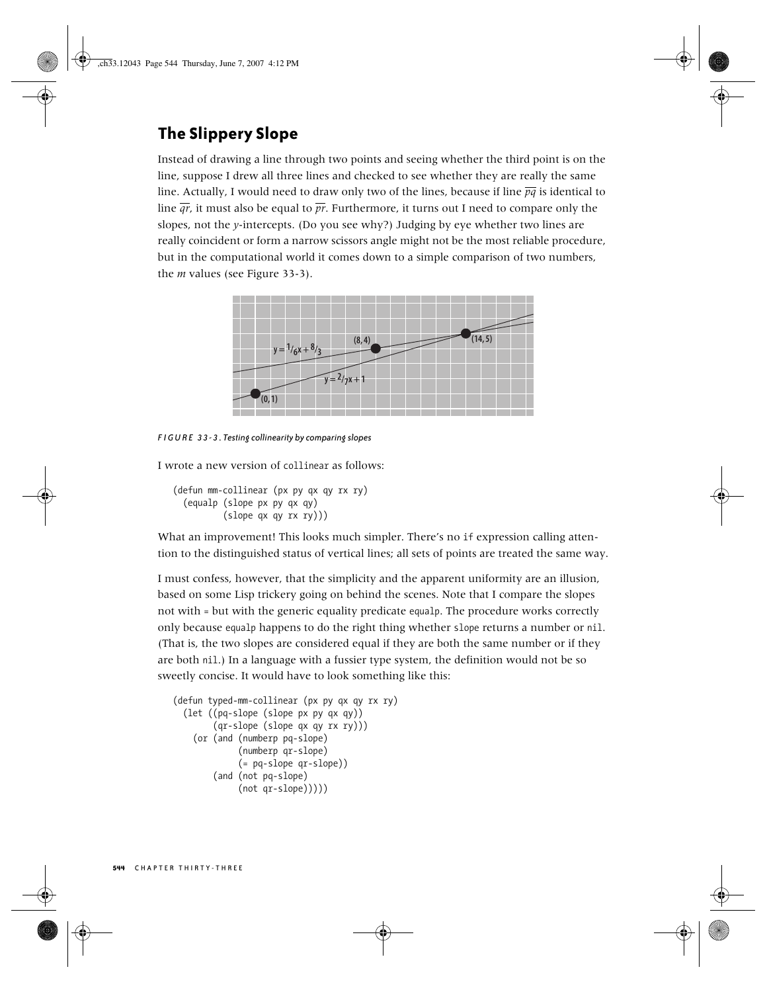#### **The Slippery Slope**

Instead of drawing a line through two points and seeing whether the third point is on the line, suppose I drew all three lines and checked to see whether they are really the same line. Actually, I would need to draw only two of the lines, because if line  $\overline{pq}$  is identical to line  $\overline{qr}$ , it must also be equal to  $\overline{pr}$ . Furthermore, it turns out I need to compare only the slopes, not the *y*-intercepts. (Do you see why?) Judging by eye whether two lines are really coincident or form a narrow scissors angle might not be the most reliable procedure, but in the computational world it comes down to a simple comparison of two numbers, the *m* values (see Figure 33-3).



*FIGURE 33-3* . *Testing collinearity by comparing slopes*

I wrote a new version of collinear as follows:

(defun mm-collinear (px py qx qy rx ry) (equalp (slope px py qx qy) (slope qx qy rx ry)))

What an improvement! This looks much simpler. There's no if expression calling attention to the distinguished status of vertical lines; all sets of points are treated the same way.

I must confess, however, that the simplicity and the apparent uniformity are an illusion, based on some Lisp trickery going on behind the scenes. Note that I compare the slopes not with = but with the generic equality predicate equalp. The procedure works correctly only because equalp happens to do the right thing whether slope returns a number or nil. (That is, the two slopes are considered equal if they are both the same number or if they are both nil.) In a language with a fussier type system, the definition would not be so sweetly concise. It would have to look something like this:

```
(defun typed-mm-collinear (px py qx qy rx ry)
  (let ((pq-slope (slope px py qx qy))
        (qr-slope (slope qx qy rx ry)))
    (or (and (numberp pq-slope)
             (numberp qr-slope)
             (= pq-slope qr-slope))
        (and (not pq-slope)
            (not qr-slope))))
```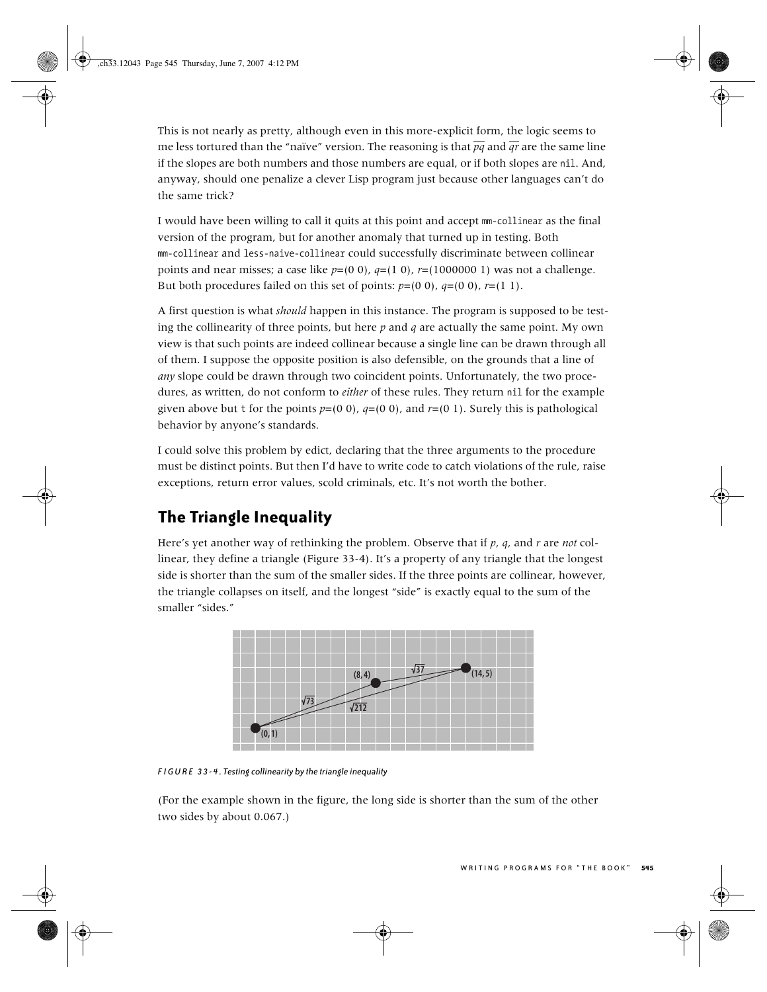This is not nearly as pretty, although even in this more-explicit form, the logic seems to me less tortured than the "naïve" version. The reasoning is that  $\overline{pq}$  and  $\overline{qr}$  are the same line if the slopes are both numbers and those numbers are equal, or if both slopes are nil. And, anyway, should one penalize a clever Lisp program just because other languages can't do the same trick?

I would have been willing to call it quits at this point and accept mm-collinear as the final version of the program, but for another anomaly that turned up in testing. Both mm-collinear and less-naive-collinear could successfully discriminate between collinear points and near misses; a case like  $p=(0\ 0)$ ,  $q=(1\ 0)$ ,  $r=(1000000\ 1)$  was not a challenge. But both procedures failed on this set of points:  $p=(0\ 0)$ ,  $q=(0\ 0)$ ,  $r=(1\ 1)$ .

A first question is what *should* happen in this instance. The program is supposed to be testing the collinearity of three points, but here *p* and *q* are actually the same point. My own view is that such points are indeed collinear because a single line can be drawn through all of them. I suppose the opposite position is also defensible, on the grounds that a line of *any* slope could be drawn through two coincident points. Unfortunately, the two procedures, as written, do not conform to *either* of these rules. They return nil for the example given above but t for the points  $p=(0\ 0)$ ,  $q=(0\ 0)$ , and  $r=(0\ 1)$ . Surely this is pathological behavior by anyone's standards.

I could solve this problem by edict, declaring that the three arguments to the procedure must be distinct points. But then I'd have to write code to catch violations of the rule, raise exceptions, return error values, scold criminals, etc. It's not worth the bother.

# **The Triangle Inequality**

Here's yet another way of rethinking the problem. Observe that if *p*, *q*, and *r* are *not* collinear, they define a triangle (Figure 33-4). It's a property of any triangle that the longest side is shorter than the sum of the smaller sides. If the three points are collinear, however, the triangle collapses on itself, and the longest "side" is exactly equal to the sum of the smaller "sides."



*FIGURE 33-4* . *Testing collinearity by the triangle inequality*

(For the example shown in the figure, the long side is shorter than the sum of the other two sides by about 0.067.)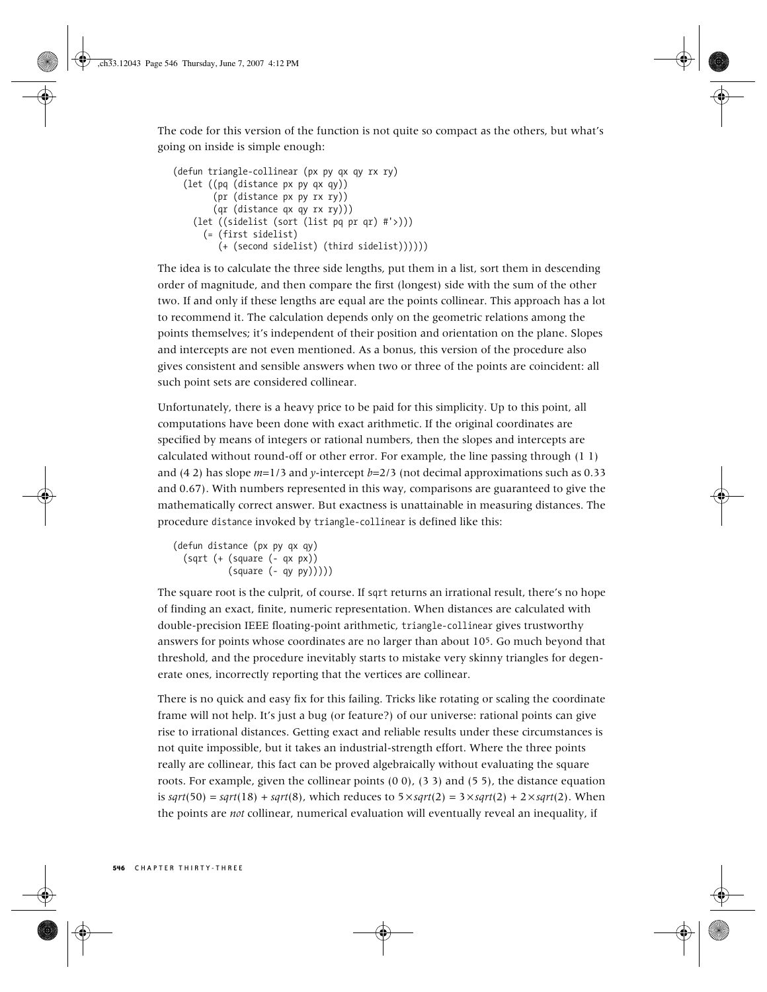The code for this version of the function is not quite so compact as the others, but what's going on inside is simple enough:

```
(defun triangle-collinear (px py qx qy rx ry)
 (let ((pq (distance px py qx qy))
        (pr (distance px py rx ry))
        (qr (distance qx qy rx ry)))
   (let ((sidelist (sort (list pq pr qr) #'>)))
      (= (first sidelist)
         (+ (second sidelist) (third sidelist))))))
```
The idea is to calculate the three side lengths, put them in a list, sort them in descending order of magnitude, and then compare the first (longest) side with the sum of the other two. If and only if these lengths are equal are the points collinear. This approach has a lot to recommend it. The calculation depends only on the geometric relations among the points themselves; it's independent of their position and orientation on the plane. Slopes and intercepts are not even mentioned. As a bonus, this version of the procedure also gives consistent and sensible answers when two or three of the points are coincident: all such point sets are considered collinear.

Unfortunately, there is a heavy price to be paid for this simplicity. Up to this point, all computations have been done with exact arithmetic. If the original coordinates are specified by means of integers or rational numbers, then the slopes and intercepts are calculated without round-off or other error. For example, the line passing through (1 1) and (4 2) has slope *m*=1/3 and *y*-intercept *b*=2/3 (not decimal approximations such as 0.33 and 0.67). With numbers represented in this way, comparisons are guaranteed to give the mathematically correct answer. But exactness is unattainable in measuring distances. The procedure distance invoked by triangle-collinear is defined like this:

```
(defun distance (px py qx qy)
(sqrt (+ (square (- qx px)))(square (- qy py))))
```
The square root is the culprit, of course. If sqrt returns an irrational result, there's no hope of finding an exact, finite, numeric representation. When distances are calculated with double-precision IEEE floating-point arithmetic, triangle-collinear gives trustworthy answers for points whose coordinates are no larger than about 105. Go much beyond that threshold, and the procedure inevitably starts to mistake very skinny triangles for degenerate ones, incorrectly reporting that the vertices are collinear.

There is no quick and easy fix for this failing. Tricks like rotating or scaling the coordinate frame will not help. It's just a bug (or feature?) of our universe: rational points can give rise to irrational distances. Getting exact and reliable results under these circumstances is not quite impossible, but it takes an industrial-strength effort. Where the three points really are collinear, this fact can be proved algebraically without evaluating the square roots. For example, given the collinear points  $(0\ 0)$ ,  $(3\ 3)$  and  $(5\ 5)$ , the distance equation is  $sqrt(50) = sqrt(18) + sqrt(8)$ , which reduces to  $5 \times sqrt(2) = 3 \times sqrt(2) + 2 \times sqrt(2)$ . When the points are *not* collinear, numerical evaluation will eventually reveal an inequality, if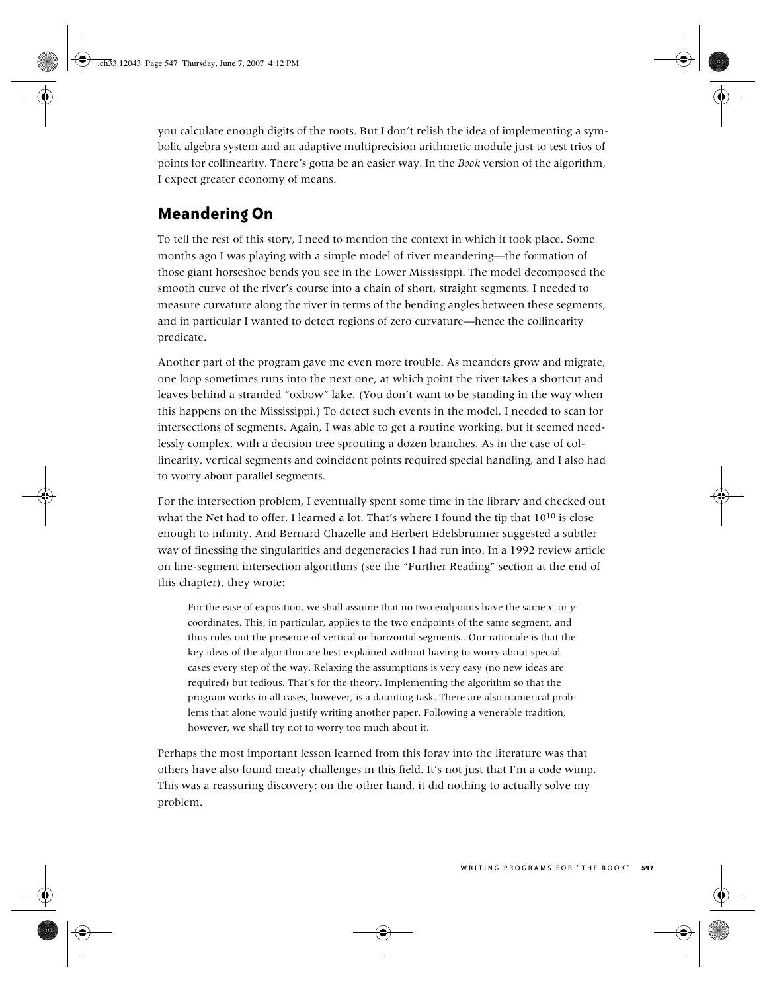you calculate enough digits of the roots. But I don't relish the idea of implementing a symbolic algebra system and an adaptive multiprecision arithmetic module just to test trios of points for collinearity. There's gotta be an easier way. In the *Book* version of the algorithm, I expect greater economy of means.

## **Meandering On**

To tell the rest of this story, I need to mention the context in which it took place. Some months ago I was playing with a simple model of river meandering—the formation of those giant horseshoe bends you see in the Lower Mississippi. The model decomposed the smooth curve of the river's course into a chain of short, straight segments. I needed to measure curvature along the river in terms of the bending angles between these segments, and in particular I wanted to detect regions of zero curvature—hence the collinearity predicate.

Another part of the program gave me even more trouble. As meanders grow and migrate, one loop sometimes runs into the next one, at which point the river takes a shortcut and leaves behind a stranded "oxbow" lake. (You don't want to be standing in the way when this happens on the Mississippi.) To detect such events in the model, I needed to scan for intersections of segments. Again, I was able to get a routine working, but it seemed needlessly complex, with a decision tree sprouting a dozen branches. As in the case of collinearity, vertical segments and coincident points required special handling, and I also had to worry about parallel segments.

For the intersection problem, I eventually spent some time in the library and checked out what the Net had to offer. I learned a lot. That's where I found the tip that  $10^{10}$  is close enough to infinity. And Bernard Chazelle and Herbert Edelsbrunner suggested a subtler way of finessing the singularities and degeneracies I had run into. In a 1992 review article on line-segment intersection algorithms (see the "Further Reading" section at the end of this chapter), they wrote:

For the ease of exposition, we shall assume that no two endpoints have the same *x-* or *y*coordinates. This, in particular, applies to the two endpoints of the same segment, and thus rules out the presence of vertical or horizontal segments...Our rationale is that the key ideas of the algorithm are best explained without having to worry about special cases every step of the way. Relaxing the assumptions is very easy (no new ideas are required) but tedious. That's for the theory. Implementing the algorithm so that the program works in all cases, however, is a daunting task. There are also numerical problems that alone would justify writing another paper. Following a venerable tradition, however, we shall try not to worry too much about it.

Perhaps the most important lesson learned from this foray into the literature was that others have also found meaty challenges in this field. It's not just that I'm a code wimp. This was a reassuring discovery; on the other hand, it did nothing to actually solve my problem.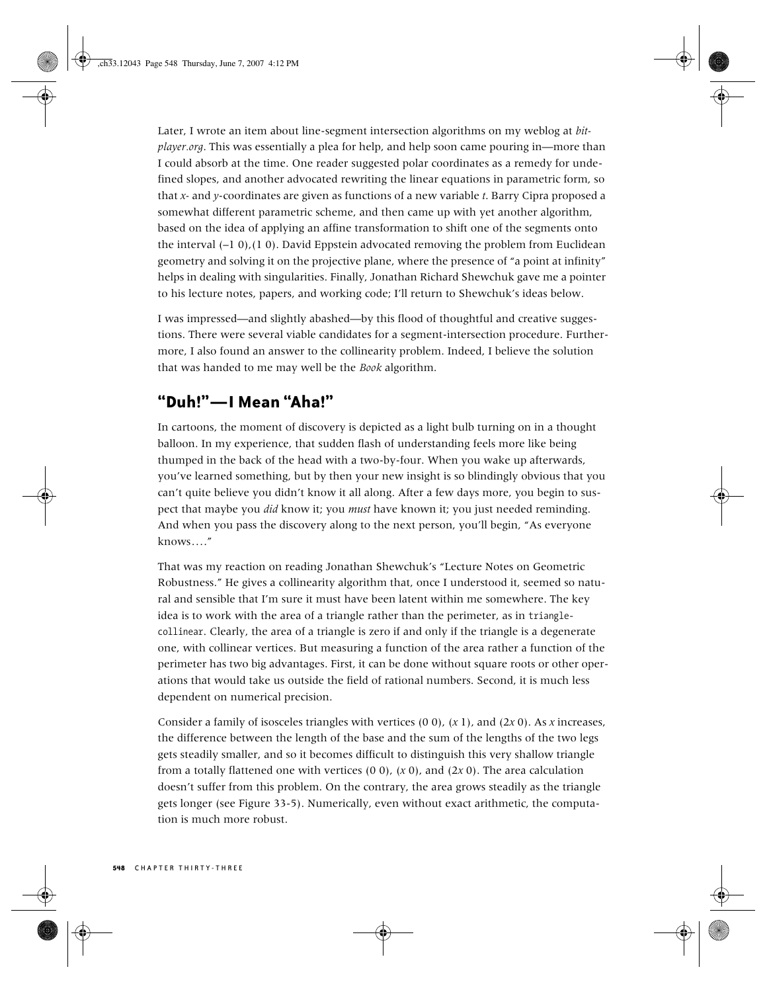Later, I wrote an item about line-segment intersection algorithms on my weblog at *bitplayer.org*. This was essentially a plea for help, and help soon came pouring in—more than I could absorb at the time. One reader suggested polar coordinates as a remedy for undefined slopes, and another advocated rewriting the linear equations in parametric form, so that *x-* and *y*-coordinates are given as functions of a new variable *t*. Barry Cipra proposed a somewhat different parametric scheme, and then came up with yet another algorithm, based on the idea of applying an affine transformation to shift one of the segments onto the interval  $(-1\ 0)$ ,  $(1\ 0)$ . David Eppstein advocated removing the problem from Euclidean geometry and solving it on the projective plane, where the presence of "a point at infinity" helps in dealing with singularities. Finally, Jonathan Richard Shewchuk gave me a pointer to his lecture notes, papers, and working code; I'll return to Shewchuk's ideas below.

I was impressed—and slightly abashed—by this flood of thoughtful and creative suggestions. There were several viable candidates for a segment-intersection procedure. Furthermore, I also found an answer to the collinearity problem. Indeed, I believe the solution that was handed to me may well be the *Book* algorithm.

#### **"Duh!"—I Mean "Aha!"**

In cartoons, the moment of discovery is depicted as a light bulb turning on in a thought balloon. In my experience, that sudden flash of understanding feels more like being thumped in the back of the head with a two-by-four. When you wake up afterwards, you've learned something, but by then your new insight is so blindingly obvious that you can't quite believe you didn't know it all along. After a few days more, you begin to suspect that maybe you *did* know it; you *must* have known it; you just needed reminding. And when you pass the discovery along to the next person, you'll begin, "As everyone knows."

That was my reaction on reading Jonathan Shewchuk's "Lecture Notes on Geometric Robustness." He gives a collinearity algorithm that, once I understood it, seemed so natural and sensible that I'm sure it must have been latent within me somewhere. The key idea is to work with the area of a triangle rather than the perimeter, as in trianglecollinear. Clearly, the area of a triangle is zero if and only if the triangle is a degenerate one, with collinear vertices. But measuring a function of the area rather a function of the perimeter has two big advantages. First, it can be done without square roots or other operations that would take us outside the field of rational numbers. Second, it is much less dependent on numerical precision.

Consider a family of isosceles triangles with vertices (0 0), (*x* 1), and (2*x* 0). As *x* increases, the difference between the length of the base and the sum of the lengths of the two legs gets steadily smaller, and so it becomes difficult to distinguish this very shallow triangle from a totally flattened one with vertices (0 0), (*x* 0), and (2*x* 0). The area calculation doesn't suffer from this problem. On the contrary, the area grows steadily as the triangle gets longer (see Figure 33-5). Numerically, even without exact arithmetic, the computation is much more robust.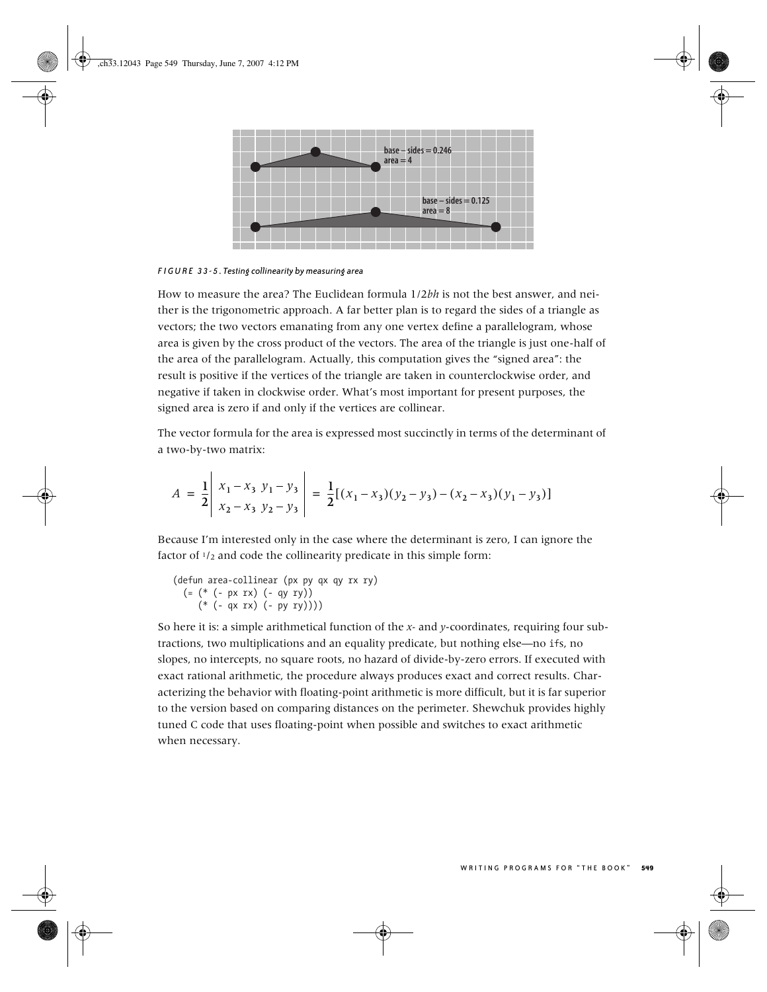

#### *FIGURE 33-5* . *Testing collinearity by measuring area*

How to measure the area? The Euclidean formula 1/2*bh* is not the best answer, and neither is the trigonometric approach. A far better plan is to regard the sides of a triangle as vectors; the two vectors emanating from any one vertex define a parallelogram, whose area is given by the cross product of the vectors. The area of the triangle is just one-half of the area of the parallelogram. Actually, this computation gives the "signed area": the result is positive if the vertices of the triangle are taken in counterclockwise order, and negative if taken in clockwise order. What's most important for present purposes, the signed area is zero if and only if the vertices are collinear.

The vector formula for the area is expressed most succinctly in terms of the determinant of a two-by-two matrix:

$$
A = \frac{1}{2} \begin{vmatrix} x_1 - x_3 & y_1 - y_3 \\ x_2 - x_3 & y_2 - y_3 \end{vmatrix} = \frac{1}{2} [(x_1 - x_3)(y_2 - y_3) - (x_2 - x_3)(y_1 - y_3)]
$$

Because I'm interested only in the case where the determinant is zero, I can ignore the factor of  $\frac{1}{2}$  and code the collinearity predicate in this simple form:

(defun area-collinear (px py qx qy rx ry) (= (\* (- px rx) (- qy ry)) (\* (- qx rx) (- py ry))))

So here it is: a simple arithmetical function of the *x-* and *y*-coordinates, requiring four subtractions, two multiplications and an equality predicate, but nothing else—no ifs, no slopes, no intercepts, no square roots, no hazard of divide-by-zero errors. If executed with exact rational arithmetic, the procedure always produces exact and correct results. Characterizing the behavior with floating-point arithmetic is more difficult, but it is far superior to the version based on comparing distances on the perimeter. Shewchuk provides highly tuned C code that uses floating-point when possible and switches to exact arithmetic when necessary.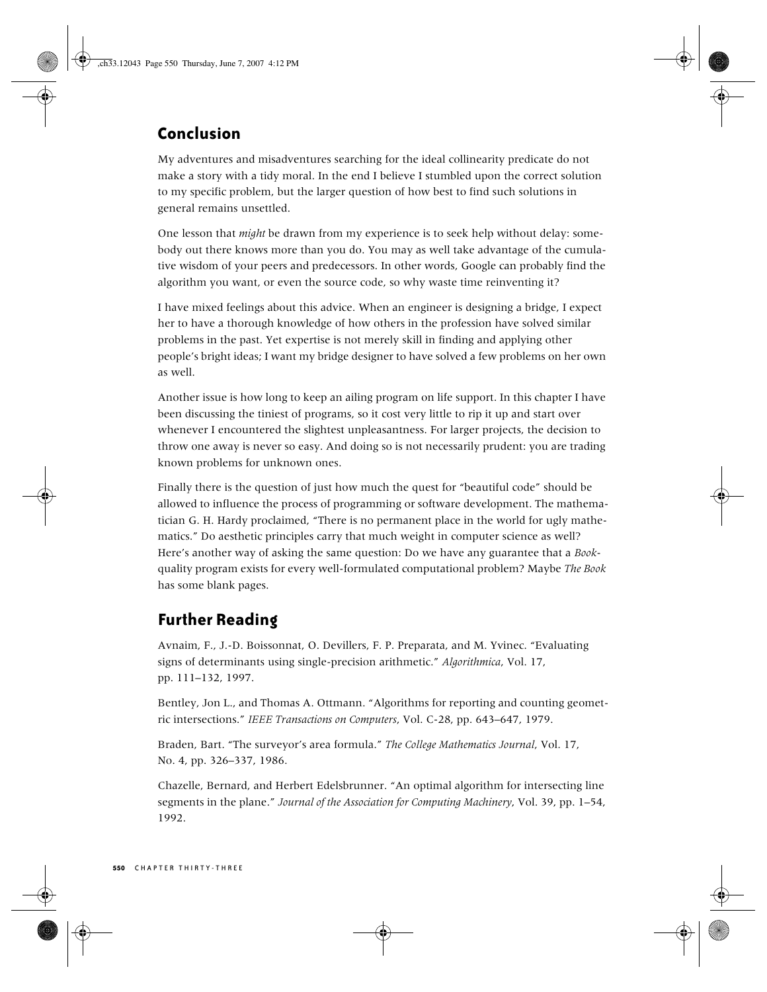# **Conclusion**

My adventures and misadventures searching for the ideal collinearity predicate do not make a story with a tidy moral. In the end I believe I stumbled upon the correct solution to my specific problem, but the larger question of how best to find such solutions in general remains unsettled.

One lesson that *might* be drawn from my experience is to seek help without delay: somebody out there knows more than you do. You may as well take advantage of the cumulative wisdom of your peers and predecessors. In other words, Google can probably find the algorithm you want, or even the source code, so why waste time reinventing it?

I have mixed feelings about this advice. When an engineer is designing a bridge, I expect her to have a thorough knowledge of how others in the profession have solved similar problems in the past. Yet expertise is not merely skill in finding and applying other people's bright ideas; I want my bridge designer to have solved a few problems on her own as well.

Another issue is how long to keep an ailing program on life support. In this chapter I have been discussing the tiniest of programs, so it cost very little to rip it up and start over whenever I encountered the slightest unpleasantness. For larger projects, the decision to throw one away is never so easy. And doing so is not necessarily prudent: you are trading known problems for unknown ones.

Finally there is the question of just how much the quest for "beautiful code" should be allowed to influence the process of programming or software development. The mathematician G. H. Hardy proclaimed, "There is no permanent place in the world for ugly mathematics." Do aesthetic principles carry that much weight in computer science as well? Here's another way of asking the same question: Do we have any guarantee that a *Book*quality program exists for every well-formulated computational problem? Maybe *The Book* has some blank pages.

#### **Further Reading**

Avnaim, F., J.-D. Boissonnat, O. Devillers, F. P. Preparata, and M. Yvinec. "Evaluating signs of determinants using single-precision arithmetic." *Algorithmica*, Vol. 17, pp. 111–132, 1997.

Bentley, Jon L., and Thomas A. Ottmann. "Algorithms for reporting and counting geometric intersections." *IEEE Transactions on Computers*, Vol. C-28, pp. 643–647, 1979.

Braden, Bart. "The surveyor's area formula." *The College Mathematics Journal*, Vol. 17, No. 4, pp. 326–337, 1986.

Chazelle, Bernard, and Herbert Edelsbrunner. "An optimal algorithm for intersecting line segments in the plane." *Journal of the Association for Computing Machinery*, Vol. 39, pp. 1–54, 1992.